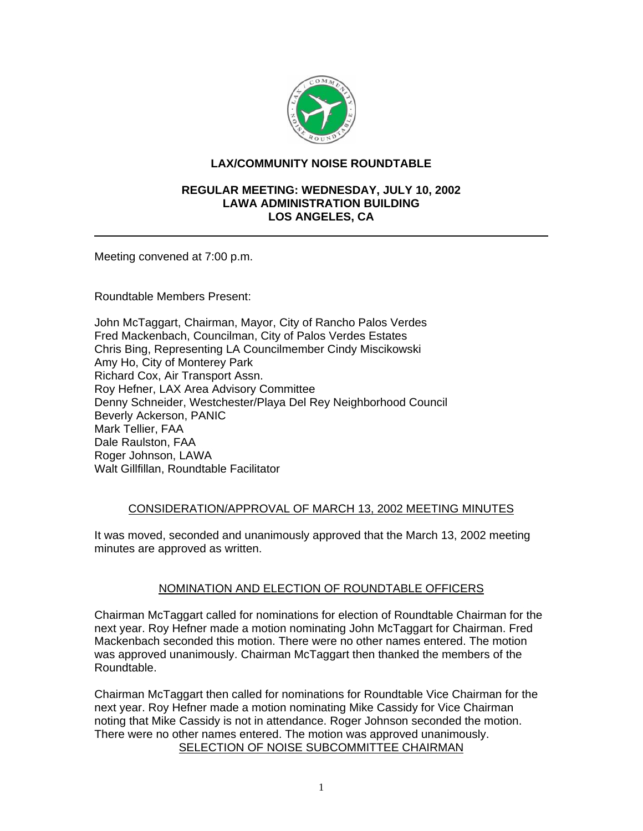

## **LAX/COMMUNITY NOISE ROUNDTABLE**

### **REGULAR MEETING: WEDNESDAY, JULY 10, 2002 LAWA ADMINISTRATION BUILDING LOS ANGELES, CA**

Meeting convened at 7:00 p.m.

Roundtable Members Present:

John McTaggart, Chairman, Mayor, City of Rancho Palos Verdes Fred Mackenbach, Councilman, City of Palos Verdes Estates Chris Bing, Representing LA Councilmember Cindy Miscikowski Amy Ho, City of Monterey Park Richard Cox, Air Transport Assn. Roy Hefner, LAX Area Advisory Committee Denny Schneider, Westchester/Playa Del Rey Neighborhood Council Beverly Ackerson, PANIC Mark Tellier, FAA Dale Raulston, FAA Roger Johnson, LAWA Walt Gillfillan, Roundtable Facilitator

## CONSIDERATION/APPROVAL OF MARCH 13, 2002 MEETING MINUTES

It was moved, seconded and unanimously approved that the March 13, 2002 meeting minutes are approved as written.

# NOMINATION AND ELECTION OF ROUNDTABLE OFFICERS

Chairman McTaggart called for nominations for election of Roundtable Chairman for the next year. Roy Hefner made a motion nominating John McTaggart for Chairman. Fred Mackenbach seconded this motion. There were no other names entered. The motion was approved unanimously. Chairman McTaggart then thanked the members of the Roundtable.

Chairman McTaggart then called for nominations for Roundtable Vice Chairman for the next year. Roy Hefner made a motion nominating Mike Cassidy for Vice Chairman noting that Mike Cassidy is not in attendance. Roger Johnson seconded the motion. There were no other names entered. The motion was approved unanimously. SELECTION OF NOISE SUBCOMMITTEE CHAIRMAN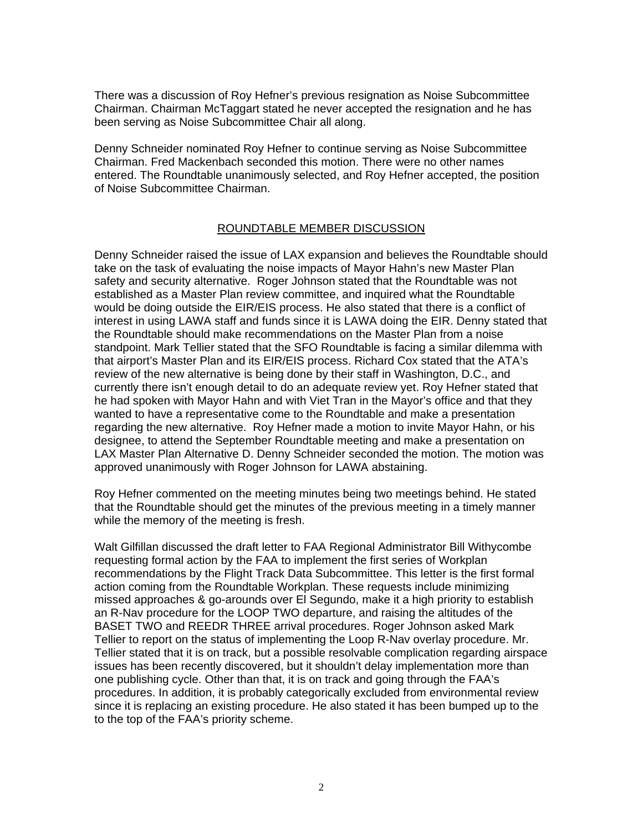There was a discussion of Roy Hefner's previous resignation as Noise Subcommittee Chairman. Chairman McTaggart stated he never accepted the resignation and he has been serving as Noise Subcommittee Chair all along.

Denny Schneider nominated Roy Hefner to continue serving as Noise Subcommittee Chairman. Fred Mackenbach seconded this motion. There were no other names entered. The Roundtable unanimously selected, and Roy Hefner accepted, the position of Noise Subcommittee Chairman.

### ROUNDTABLE MEMBER DISCUSSION

Denny Schneider raised the issue of LAX expansion and believes the Roundtable should take on the task of evaluating the noise impacts of Mayor Hahn's new Master Plan safety and security alternative. Roger Johnson stated that the Roundtable was not established as a Master Plan review committee, and inquired what the Roundtable would be doing outside the EIR/EIS process. He also stated that there is a conflict of interest in using LAWA staff and funds since it is LAWA doing the EIR. Denny stated that the Roundtable should make recommendations on the Master Plan from a noise standpoint. Mark Tellier stated that the SFO Roundtable is facing a similar dilemma with that airport's Master Plan and its EIR/EIS process. Richard Cox stated that the ATA's review of the new alternative is being done by their staff in Washington, D.C., and currently there isn't enough detail to do an adequate review yet. Roy Hefner stated that he had spoken with Mayor Hahn and with Viet Tran in the Mayor's office and that they wanted to have a representative come to the Roundtable and make a presentation regarding the new alternative. Roy Hefner made a motion to invite Mayor Hahn, or his designee, to attend the September Roundtable meeting and make a presentation on LAX Master Plan Alternative D. Denny Schneider seconded the motion. The motion was approved unanimously with Roger Johnson for LAWA abstaining.

Roy Hefner commented on the meeting minutes being two meetings behind. He stated that the Roundtable should get the minutes of the previous meeting in a timely manner while the memory of the meeting is fresh.

Walt Gilfillan discussed the draft letter to FAA Regional Administrator Bill Withycombe requesting formal action by the FAA to implement the first series of Workplan recommendations by the Flight Track Data Subcommittee. This letter is the first formal action coming from the Roundtable Workplan. These requests include minimizing missed approaches & go-arounds over El Segundo, make it a high priority to establish an R-Nav procedure for the LOOP TWO departure, and raising the altitudes of the BASET TWO and REEDR THREE arrival procedures. Roger Johnson asked Mark Tellier to report on the status of implementing the Loop R-Nav overlay procedure. Mr. Tellier stated that it is on track, but a possible resolvable complication regarding airspace issues has been recently discovered, but it shouldn't delay implementation more than one publishing cycle. Other than that, it is on track and going through the FAA's procedures. In addition, it is probably categorically excluded from environmental review since it is replacing an existing procedure. He also stated it has been bumped up to the to the top of the FAA's priority scheme.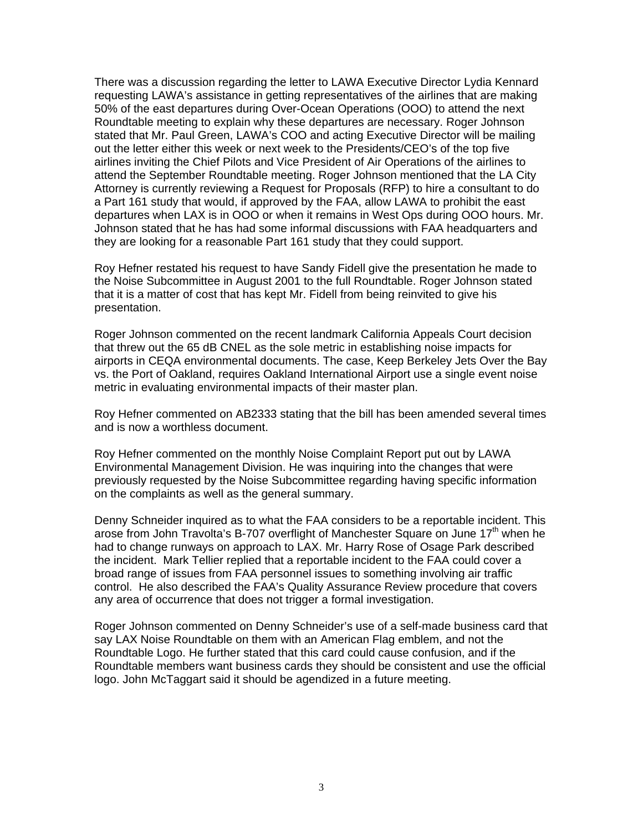There was a discussion regarding the letter to LAWA Executive Director Lydia Kennard requesting LAWA's assistance in getting representatives of the airlines that are making 50% of the east departures during Over-Ocean Operations (OOO) to attend the next Roundtable meeting to explain why these departures are necessary. Roger Johnson stated that Mr. Paul Green, LAWA's COO and acting Executive Director will be mailing out the letter either this week or next week to the Presidents/CEO's of the top five airlines inviting the Chief Pilots and Vice President of Air Operations of the airlines to attend the September Roundtable meeting. Roger Johnson mentioned that the LA City Attorney is currently reviewing a Request for Proposals (RFP) to hire a consultant to do a Part 161 study that would, if approved by the FAA, allow LAWA to prohibit the east departures when LAX is in OOO or when it remains in West Ops during OOO hours. Mr. Johnson stated that he has had some informal discussions with FAA headquarters and they are looking for a reasonable Part 161 study that they could support.

Roy Hefner restated his request to have Sandy Fidell give the presentation he made to the Noise Subcommittee in August 2001 to the full Roundtable. Roger Johnson stated that it is a matter of cost that has kept Mr. Fidell from being reinvited to give his presentation.

Roger Johnson commented on the recent landmark California Appeals Court decision that threw out the 65 dB CNEL as the sole metric in establishing noise impacts for airports in CEQA environmental documents. The case, Keep Berkeley Jets Over the Bay vs. the Port of Oakland, requires Oakland International Airport use a single event noise metric in evaluating environmental impacts of their master plan.

Roy Hefner commented on AB2333 stating that the bill has been amended several times and is now a worthless document.

Roy Hefner commented on the monthly Noise Complaint Report put out by LAWA Environmental Management Division. He was inquiring into the changes that were previously requested by the Noise Subcommittee regarding having specific information on the complaints as well as the general summary.

Denny Schneider inquired as to what the FAA considers to be a reportable incident. This arose from John Travolta's B-707 overflight of Manchester Square on June  $17<sup>th</sup>$  when he had to change runways on approach to LAX. Mr. Harry Rose of Osage Park described the incident. Mark Tellier replied that a reportable incident to the FAA could cover a broad range of issues from FAA personnel issues to something involving air traffic control. He also described the FAA's Quality Assurance Review procedure that covers any area of occurrence that does not trigger a formal investigation.

Roger Johnson commented on Denny Schneider's use of a self-made business card that say LAX Noise Roundtable on them with an American Flag emblem, and not the Roundtable Logo. He further stated that this card could cause confusion, and if the Roundtable members want business cards they should be consistent and use the official logo. John McTaggart said it should be agendized in a future meeting.